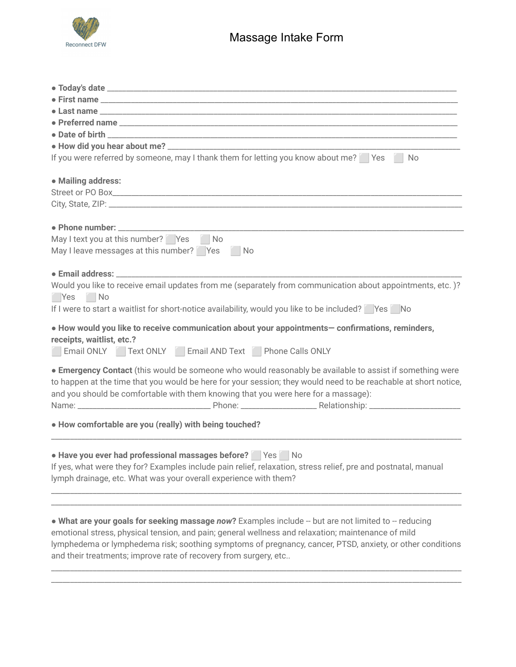

| If you were referred by someone, may I thank them for letting you know about me? Pes<br>No                                                                                                                                                                                                                                                                                                   |  |  |  |  |  |
|----------------------------------------------------------------------------------------------------------------------------------------------------------------------------------------------------------------------------------------------------------------------------------------------------------------------------------------------------------------------------------------------|--|--|--|--|--|
| • Mailing address:                                                                                                                                                                                                                                                                                                                                                                           |  |  |  |  |  |
|                                                                                                                                                                                                                                                                                                                                                                                              |  |  |  |  |  |
|                                                                                                                                                                                                                                                                                                                                                                                              |  |  |  |  |  |
|                                                                                                                                                                                                                                                                                                                                                                                              |  |  |  |  |  |
| May I text you at this number? Yes No                                                                                                                                                                                                                                                                                                                                                        |  |  |  |  |  |
| May I leave messages at this number? Yes No                                                                                                                                                                                                                                                                                                                                                  |  |  |  |  |  |
|                                                                                                                                                                                                                                                                                                                                                                                              |  |  |  |  |  |
| Would you like to receive email updates from me (separately from communication about appointments, etc.)?                                                                                                                                                                                                                                                                                    |  |  |  |  |  |
| Yes No                                                                                                                                                                                                                                                                                                                                                                                       |  |  |  |  |  |
| If I were to start a waitlist for short-notice availability, would you like to be included? Yes No                                                                                                                                                                                                                                                                                           |  |  |  |  |  |
| . How would you like to receive communication about your appointments- confirmations, reminders,<br>receipts, waitlist, etc.?<br>Email ONLY   Text ONLY   Email AND Text   Phone Calls ONLY                                                                                                                                                                                                  |  |  |  |  |  |
| <b>Emergency Contact</b> (this would be someone who would reasonably be available to assist if something were<br>to happen at the time that you would be here for your session; they would need to be reachable at short notice,<br>and you should be comfortable with them knowing that you were here for a massage):                                                                       |  |  |  |  |  |
| • How comfortable are you (really) with being touched?                                                                                                                                                                                                                                                                                                                                       |  |  |  |  |  |
| • Have you ever had professional massages before? Yes No<br>If yes, what were they for? Examples include pain relief, relaxation, stress relief, pre and postnatal, manual<br>lymph drainage, etc. What was your overall experience with them?                                                                                                                                               |  |  |  |  |  |
| . What are your goals for seeking massage now? Examples include -- but are not limited to -- reducing<br>emotional stress, physical tension, and pain; general wellness and relaxation; maintenance of mild<br>lymphedema or lymphedema risk; soothing symptoms of pregnancy, cancer, PTSD, anxiety, or other conditions<br>and their treatments; improve rate of recovery from surgery, etc |  |  |  |  |  |

\_\_\_\_\_\_\_\_\_\_\_\_\_\_\_\_\_\_\_\_\_\_\_\_\_\_\_\_\_\_\_\_\_\_\_\_\_\_\_\_\_\_\_\_\_\_\_\_\_\_\_\_\_\_\_\_\_\_\_\_\_\_\_\_\_\_\_\_\_\_\_\_\_\_\_\_\_\_\_\_\_\_\_\_\_\_\_\_\_\_\_\_\_\_\_\_\_\_\_\_\_\_\_\_\_\_\_\_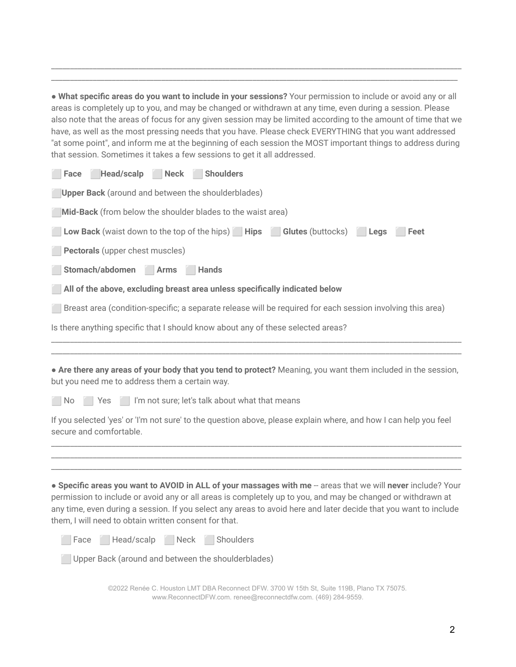● **What specific areas do you want to include in your sessions?** Your permission to include or avoid any or all areas is completely up to you, and may be changed or withdrawn at any time, even during a session. Please also note that the areas of focus for any given session may be limited according to the amount of time that we have, as well as the most pressing needs that you have. Please check EVERYTHING that you want addressed "at some point", and inform me at the beginning of each session the MOST important things to address during that session. Sometimes it takes a few sessions to get it all addressed.

\_\_\_\_\_\_\_\_\_\_\_\_\_\_\_\_\_\_\_\_\_\_\_\_\_\_\_\_\_\_\_\_\_\_\_\_\_\_\_\_\_\_\_\_\_\_\_\_\_\_\_\_\_\_\_\_\_\_\_\_\_\_\_\_\_\_\_\_\_\_\_\_\_\_\_\_\_\_\_\_\_\_\_\_\_\_\_\_\_\_\_\_\_\_\_\_\_\_\_\_\_\_\_\_\_\_\_\_ \_\_\_\_\_\_\_\_\_\_\_\_\_\_\_\_\_\_\_\_\_\_\_\_\_\_\_\_\_\_\_\_\_\_\_\_\_\_\_\_\_\_\_\_\_\_\_\_\_\_\_\_\_\_\_\_\_\_\_\_\_\_\_\_\_\_\_\_\_\_\_\_\_\_\_\_\_\_\_\_\_\_\_\_\_\_\_\_\_\_\_\_\_\_\_\_\_\_\_\_\_\_\_\_\_\_\_

| Head/scalp Neck Shoulders<br>Face                                                                                                                                                                                                                                                                                                                                                                                                                                                                      |  |  |  |  |  |
|--------------------------------------------------------------------------------------------------------------------------------------------------------------------------------------------------------------------------------------------------------------------------------------------------------------------------------------------------------------------------------------------------------------------------------------------------------------------------------------------------------|--|--|--|--|--|
| <b>Upper Back</b> (around and between the shoulderblades)                                                                                                                                                                                                                                                                                                                                                                                                                                              |  |  |  |  |  |
| Mid-Back (from below the shoulder blades to the waist area)                                                                                                                                                                                                                                                                                                                                                                                                                                            |  |  |  |  |  |
| <b>Low Back</b> (waist down to the top of the hips) Hips<br><b>Glutes</b> (buttocks)<br>Legs<br>Feet                                                                                                                                                                                                                                                                                                                                                                                                   |  |  |  |  |  |
| Pectorals (upper chest muscles)                                                                                                                                                                                                                                                                                                                                                                                                                                                                        |  |  |  |  |  |
| Stomach/abdomen Arms<br><b>Hands</b>                                                                                                                                                                                                                                                                                                                                                                                                                                                                   |  |  |  |  |  |
| All of the above, excluding breast area unless specifically indicated below                                                                                                                                                                                                                                                                                                                                                                                                                            |  |  |  |  |  |
| Breast area (condition-specific; a separate release will be required for each session involving this area)                                                                                                                                                                                                                                                                                                                                                                                             |  |  |  |  |  |
| Is there anything specific that I should know about any of these selected areas?                                                                                                                                                                                                                                                                                                                                                                                                                       |  |  |  |  |  |
|                                                                                                                                                                                                                                                                                                                                                                                                                                                                                                        |  |  |  |  |  |
| • Are there any areas of your body that you tend to protect? Meaning, you want them included in the session,<br>but you need me to address them a certain way.                                                                                                                                                                                                                                                                                                                                         |  |  |  |  |  |
| I'm not sure; let's talk about what that means<br><b>No</b><br>Yes                                                                                                                                                                                                                                                                                                                                                                                                                                     |  |  |  |  |  |
| If you selected 'yes' or 'I'm not sure' to the question above, please explain where, and how I can help you feel<br>secure and comfortable.                                                                                                                                                                                                                                                                                                                                                            |  |  |  |  |  |
|                                                                                                                                                                                                                                                                                                                                                                                                                                                                                                        |  |  |  |  |  |
| . Specific areas you want to AVOID in ALL of your massages with me -- areas that we will never include? Your<br>permission to include or avoid any or all areas is completely up to you, and may be changed or withdrawn at<br>any time, even during a session. If you select any areas to avoid here and later decide that you want to include<br>them, I will need to obtain written consent for that.<br>Head/scalp Neck<br>Shoulders<br>Face<br>Upper Back (around and between the shoulderblades) |  |  |  |  |  |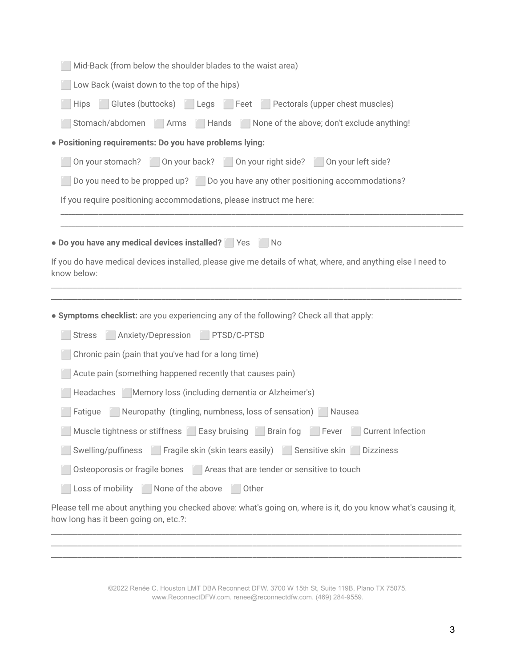| Low Back (waist down to the top of the hips)                                                      |
|---------------------------------------------------------------------------------------------------|
| Glutes (buttocks) Legs Feet Pectorals (upper chest muscles)<br><b>Hips</b>                        |
| Hands None of the above; don't exclude anything!<br>Stomach/abdomen Arms                          |
| • Positioning requirements: Do you have problems lying:                                           |
| On your stomach? On your back? On your right side? On your left side?                             |
| Do you need to be propped up?   Do you have any other positioning accommodations?                 |
| If you require positioning accommodations, please instruct me here:                               |
|                                                                                                   |
| • Do you have any medical devices installed? Yes<br>No No                                         |
| know below:                                                                                       |
| • Symptoms checklist: are you experiencing any of the following? Check all that apply:            |
|                                                                                                   |
| Anxiety/Depression   PTSD/C-PTSD<br><b>Stress</b>                                                 |
| Chronic pain (pain that you've had for a long time)                                               |
| Acute pain (something happened recently that causes pain)                                         |
| Memory loss (including dementia or Alzheimer's)<br>Headaches                                      |
| Neuropathy (tingling, numbness, loss of sensation) Nausea<br>Fatigue                              |
| Muscle tightness or stiffness <b>Easy bruising</b> Brain fog<br>Fever<br><b>Current Infection</b> |
| Swelling/puffiness Fragile skin (skin tears easily) Sensitive skin Dizziness                      |
| Osteoporosis or fragile bones   Areas that are tender or sensitive to touch                       |
| Loss of mobility None of the above<br>Other                                                       |

©2022 Renée C. Houston LMT DBA Reconnect DFW. 3700 W 15th St, Suite 119B, Plano TX 75075. www.ReconnectDFW.com. renee@reconnectdfw.com. (469) 284-9559.

\_\_\_\_\_\_\_\_\_\_\_\_\_\_\_\_\_\_\_\_\_\_\_\_\_\_\_\_\_\_\_\_\_\_\_\_\_\_\_\_\_\_\_\_\_\_\_\_\_\_\_\_\_\_\_\_\_\_\_\_\_\_\_\_\_\_\_\_\_\_\_\_\_\_\_\_\_\_\_\_\_\_\_\_\_\_\_\_\_\_\_\_\_\_\_\_\_\_\_\_\_\_\_\_\_\_\_\_ \_\_\_\_\_\_\_\_\_\_\_\_\_\_\_\_\_\_\_\_\_\_\_\_\_\_\_\_\_\_\_\_\_\_\_\_\_\_\_\_\_\_\_\_\_\_\_\_\_\_\_\_\_\_\_\_\_\_\_\_\_\_\_\_\_\_\_\_\_\_\_\_\_\_\_\_\_\_\_\_\_\_\_\_\_\_\_\_\_\_\_\_\_\_\_\_\_\_\_\_\_\_\_\_\_\_\_\_

\_\_\_\_\_\_\_\_\_\_\_\_\_\_\_\_\_\_\_\_\_\_\_\_\_\_\_\_\_\_\_\_\_\_\_\_\_\_\_\_\_\_\_\_\_\_\_\_\_\_\_\_\_\_\_\_\_\_\_\_\_\_\_\_\_\_\_\_\_\_\_\_\_\_\_\_\_\_\_\_\_\_\_\_\_\_\_\_\_\_\_\_\_\_\_\_\_\_\_\_\_\_\_\_\_\_\_\_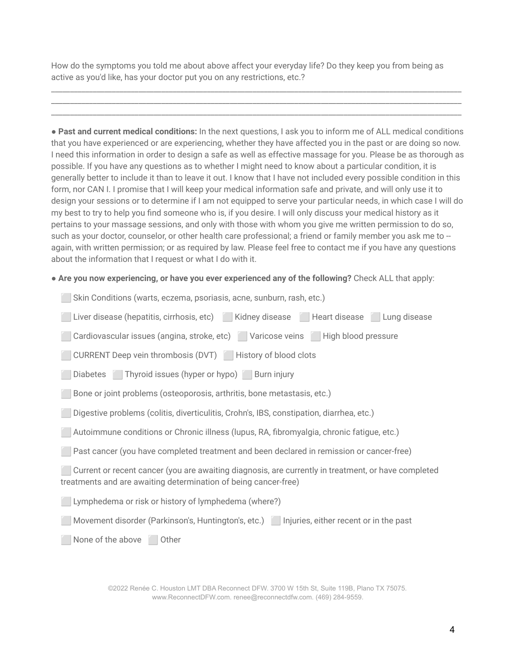How do the symptoms you told me about above affect your everyday life? Do they keep you from being as active as you'd like, has your doctor put you on any restrictions, etc.?

\_\_\_\_\_\_\_\_\_\_\_\_\_\_\_\_\_\_\_\_\_\_\_\_\_\_\_\_\_\_\_\_\_\_\_\_\_\_\_\_\_\_\_\_\_\_\_\_\_\_\_\_\_\_\_\_\_\_\_\_\_\_\_\_\_\_\_\_\_\_\_\_\_\_\_\_\_\_\_\_\_\_\_\_\_\_\_\_\_\_\_\_\_\_\_\_\_\_\_\_\_\_\_\_\_\_\_\_ \_\_\_\_\_\_\_\_\_\_\_\_\_\_\_\_\_\_\_\_\_\_\_\_\_\_\_\_\_\_\_\_\_\_\_\_\_\_\_\_\_\_\_\_\_\_\_\_\_\_\_\_\_\_\_\_\_\_\_\_\_\_\_\_\_\_\_\_\_\_\_\_\_\_\_\_\_\_\_\_\_\_\_\_\_\_\_\_\_\_\_\_\_\_\_\_\_\_\_\_\_\_\_\_\_\_\_\_ \_\_\_\_\_\_\_\_\_\_\_\_\_\_\_\_\_\_\_\_\_\_\_\_\_\_\_\_\_\_\_\_\_\_\_\_\_\_\_\_\_\_\_\_\_\_\_\_\_\_\_\_\_\_\_\_\_\_\_\_\_\_\_\_\_\_\_\_\_\_\_\_\_\_\_\_\_\_\_\_\_\_\_\_\_\_\_\_\_\_\_\_\_\_\_\_\_\_\_\_\_\_\_\_\_\_\_\_

● **Past and current medical conditions:** In the next questions, I ask you to inform me of ALL medical conditions that you have experienced or are experiencing, whether they have affected you in the past or are doing so now. I need this information in order to design a safe as well as effective massage for you. Please be as thorough as possible. If you have any questions as to whether I might need to know about a particular condition, it is generally better to include it than to leave it out. I know that I have not included every possible condition in this form, nor CAN I. I promise that I will keep your medical information safe and private, and will only use it to design your sessions or to determine if I am not equipped to serve your particular needs, in which case I will do my best to try to help you find someone who is, if you desire. I will only discuss your medical history as it pertains to your massage sessions, and only with those with whom you give me written permission to do so, such as your doctor, counselor, or other health care professional; a friend or family member you ask me to -again, with written permission; or as required by law. Please feel free to contact me if you have any questions about the information that I request or what I do with it.

## ● **Are you now experiencing, or have you ever experienced any of the following?** Check ALL that apply:

| Skin Conditions (warts, eczema, psoriasis, acne, sunburn, rash, etc.)                                                                                                  |
|------------------------------------------------------------------------------------------------------------------------------------------------------------------------|
| Liver disease (hepatitis, cirrhosis, etc) Kidney disease Heart disease Lung disease                                                                                    |
| Cardiovascular issues (angina, stroke, etc) Varicose veins High blood pressure                                                                                         |
| CURRENT Deep vein thrombosis (DVT)   History of blood clots                                                                                                            |
| Diabetes Thyroid issues (hyper or hypo) Burn injury                                                                                                                    |
| Bone or joint problems (osteoporosis, arthritis, bone metastasis, etc.)                                                                                                |
| Digestive problems (colitis, diverticulitis, Crohn's, IBS, constipation, diarrhea, etc.)                                                                               |
| Autoimmune conditions or Chronic illness (lupus, RA, fibromyalgia, chronic fatigue, etc.)                                                                              |
| Past cancer (you have completed treatment and been declared in remission or cancer-free)                                                                               |
| Current or recent cancer (you are awaiting diagnosis, are currently in treatment, or have completed<br>treatments and are awaiting determination of being cancer-free) |
| Lymphedema or risk or history of lymphedema (where?)                                                                                                                   |
|                                                                                                                                                                        |

None of the above **Other**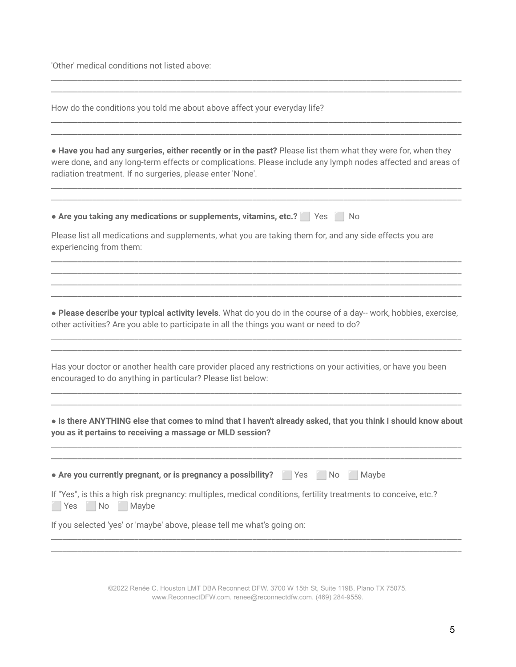'Other' medical conditions not listed above:

How do the conditions you told me about above affect your everyday life?

● **Have you had any surgeries, either recently or in the past?** Please list them what they were for, when they were done, and any long-term effects or complications. Please include any lymph nodes affected and areas of radiation treatment. If no surgeries, please enter 'None'.

\_\_\_\_\_\_\_\_\_\_\_\_\_\_\_\_\_\_\_\_\_\_\_\_\_\_\_\_\_\_\_\_\_\_\_\_\_\_\_\_\_\_\_\_\_\_\_\_\_\_\_\_\_\_\_\_\_\_\_\_\_\_\_\_\_\_\_\_\_\_\_\_\_\_\_\_\_\_\_\_\_\_\_\_\_\_\_\_\_\_\_\_\_\_\_\_\_\_\_\_\_\_\_\_\_\_\_\_ \_\_\_\_\_\_\_\_\_\_\_\_\_\_\_\_\_\_\_\_\_\_\_\_\_\_\_\_\_\_\_\_\_\_\_\_\_\_\_\_\_\_\_\_\_\_\_\_\_\_\_\_\_\_\_\_\_\_\_\_\_\_\_\_\_\_\_\_\_\_\_\_\_\_\_\_\_\_\_\_\_\_\_\_\_\_\_\_\_\_\_\_\_\_\_\_\_\_\_\_\_\_\_\_\_\_\_\_

\_\_\_\_\_\_\_\_\_\_\_\_\_\_\_\_\_\_\_\_\_\_\_\_\_\_\_\_\_\_\_\_\_\_\_\_\_\_\_\_\_\_\_\_\_\_\_\_\_\_\_\_\_\_\_\_\_\_\_\_\_\_\_\_\_\_\_\_\_\_\_\_\_\_\_\_\_\_\_\_\_\_\_\_\_\_\_\_\_\_\_\_\_\_\_\_\_\_\_\_\_\_\_\_\_\_\_\_ \_\_\_\_\_\_\_\_\_\_\_\_\_\_\_\_\_\_\_\_\_\_\_\_\_\_\_\_\_\_\_\_\_\_\_\_\_\_\_\_\_\_\_\_\_\_\_\_\_\_\_\_\_\_\_\_\_\_\_\_\_\_\_\_\_\_\_\_\_\_\_\_\_\_\_\_\_\_\_\_\_\_\_\_\_\_\_\_\_\_\_\_\_\_\_\_\_\_\_\_\_\_\_\_\_\_\_\_

\_\_\_\_\_\_\_\_\_\_\_\_\_\_\_\_\_\_\_\_\_\_\_\_\_\_\_\_\_\_\_\_\_\_\_\_\_\_\_\_\_\_\_\_\_\_\_\_\_\_\_\_\_\_\_\_\_\_\_\_\_\_\_\_\_\_\_\_\_\_\_\_\_\_\_\_\_\_\_\_\_\_\_\_\_\_\_\_\_\_\_\_\_\_\_\_\_\_\_\_\_\_\_\_\_\_\_\_ \_\_\_\_\_\_\_\_\_\_\_\_\_\_\_\_\_\_\_\_\_\_\_\_\_\_\_\_\_\_\_\_\_\_\_\_\_\_\_\_\_\_\_\_\_\_\_\_\_\_\_\_\_\_\_\_\_\_\_\_\_\_\_\_\_\_\_\_\_\_\_\_\_\_\_\_\_\_\_\_\_\_\_\_\_\_\_\_\_\_\_\_\_\_\_\_\_\_\_\_\_\_\_\_\_\_\_\_

● **Are you taking any medications or supplements, vitamins, etc.?** ⬜ Yes ⬜ No

Please list all medications and supplements, what you are taking them for, and any side effects you are experiencing from them:

● **Please describe your typical activity levels**. What do you do in the course of a day-- work, hobbies, exercise, other activities? Are you able to participate in all the things you want or need to do?

\_\_\_\_\_\_\_\_\_\_\_\_\_\_\_\_\_\_\_\_\_\_\_\_\_\_\_\_\_\_\_\_\_\_\_\_\_\_\_\_\_\_\_\_\_\_\_\_\_\_\_\_\_\_\_\_\_\_\_\_\_\_\_\_\_\_\_\_\_\_\_\_\_\_\_\_\_\_\_\_\_\_\_\_\_\_\_\_\_\_\_\_\_\_\_\_\_\_\_\_\_\_\_\_\_\_\_\_ \_\_\_\_\_\_\_\_\_\_\_\_\_\_\_\_\_\_\_\_\_\_\_\_\_\_\_\_\_\_\_\_\_\_\_\_\_\_\_\_\_\_\_\_\_\_\_\_\_\_\_\_\_\_\_\_\_\_\_\_\_\_\_\_\_\_\_\_\_\_\_\_\_\_\_\_\_\_\_\_\_\_\_\_\_\_\_\_\_\_\_\_\_\_\_\_\_\_\_\_\_\_\_\_\_\_\_\_

\_\_\_\_\_\_\_\_\_\_\_\_\_\_\_\_\_\_\_\_\_\_\_\_\_\_\_\_\_\_\_\_\_\_\_\_\_\_\_\_\_\_\_\_\_\_\_\_\_\_\_\_\_\_\_\_\_\_\_\_\_\_\_\_\_\_\_\_\_\_\_\_\_\_\_\_\_\_\_\_\_\_\_\_\_\_\_\_\_\_\_\_\_\_\_\_\_\_\_\_\_\_\_\_\_\_\_\_ \_\_\_\_\_\_\_\_\_\_\_\_\_\_\_\_\_\_\_\_\_\_\_\_\_\_\_\_\_\_\_\_\_\_\_\_\_\_\_\_\_\_\_\_\_\_\_\_\_\_\_\_\_\_\_\_\_\_\_\_\_\_\_\_\_\_\_\_\_\_\_\_\_\_\_\_\_\_\_\_\_\_\_\_\_\_\_\_\_\_\_\_\_\_\_\_\_\_\_\_\_\_\_\_\_\_\_\_ \_\_\_\_\_\_\_\_\_\_\_\_\_\_\_\_\_\_\_\_\_\_\_\_\_\_\_\_\_\_\_\_\_\_\_\_\_\_\_\_\_\_\_\_\_\_\_\_\_\_\_\_\_\_\_\_\_\_\_\_\_\_\_\_\_\_\_\_\_\_\_\_\_\_\_\_\_\_\_\_\_\_\_\_\_\_\_\_\_\_\_\_\_\_\_\_\_\_\_\_\_\_\_\_\_\_\_\_ \_\_\_\_\_\_\_\_\_\_\_\_\_\_\_\_\_\_\_\_\_\_\_\_\_\_\_\_\_\_\_\_\_\_\_\_\_\_\_\_\_\_\_\_\_\_\_\_\_\_\_\_\_\_\_\_\_\_\_\_\_\_\_\_\_\_\_\_\_\_\_\_\_\_\_\_\_\_\_\_\_\_\_\_\_\_\_\_\_\_\_\_\_\_\_\_\_\_\_\_\_\_\_\_\_\_\_\_

Has your doctor or another health care provider placed any restrictions on your activities, or have you been encouraged to do anything in particular? Please list below:

. Is there ANYTHING else that comes to mind that I haven't already asked, that you think I should know about **you as it pertains to receiving a massage or MLD session?**

\_\_\_\_\_\_\_\_\_\_\_\_\_\_\_\_\_\_\_\_\_\_\_\_\_\_\_\_\_\_\_\_\_\_\_\_\_\_\_\_\_\_\_\_\_\_\_\_\_\_\_\_\_\_\_\_\_\_\_\_\_\_\_\_\_\_\_\_\_\_\_\_\_\_\_\_\_\_\_\_\_\_\_\_\_\_\_\_\_\_\_\_\_\_\_\_\_\_\_\_\_\_\_\_\_\_\_\_ \_\_\_\_\_\_\_\_\_\_\_\_\_\_\_\_\_\_\_\_\_\_\_\_\_\_\_\_\_\_\_\_\_\_\_\_\_\_\_\_\_\_\_\_\_\_\_\_\_\_\_\_\_\_\_\_\_\_\_\_\_\_\_\_\_\_\_\_\_\_\_\_\_\_\_\_\_\_\_\_\_\_\_\_\_\_\_\_\_\_\_\_\_\_\_\_\_\_\_\_\_\_\_\_\_\_\_\_

\_\_\_\_\_\_\_\_\_\_\_\_\_\_\_\_\_\_\_\_\_\_\_\_\_\_\_\_\_\_\_\_\_\_\_\_\_\_\_\_\_\_\_\_\_\_\_\_\_\_\_\_\_\_\_\_\_\_\_\_\_\_\_\_\_\_\_\_\_\_\_\_\_\_\_\_\_\_\_\_\_\_\_\_\_\_\_\_\_\_\_\_\_\_\_\_\_\_\_\_\_\_\_\_\_\_\_\_ \_\_\_\_\_\_\_\_\_\_\_\_\_\_\_\_\_\_\_\_\_\_\_\_\_\_\_\_\_\_\_\_\_\_\_\_\_\_\_\_\_\_\_\_\_\_\_\_\_\_\_\_\_\_\_\_\_\_\_\_\_\_\_\_\_\_\_\_\_\_\_\_\_\_\_\_\_\_\_\_\_\_\_\_\_\_\_\_\_\_\_\_\_\_\_\_\_\_\_\_\_\_\_\_\_\_\_\_

● **Are you currently pregnant, or is pregnancy a possibility?** ⬜ Yes ⬜ No ⬜ Maybe

|  | If "Yes", is this a high risk pregnancy: multiples, medical conditions, fertility treatments to conceive, etc.? |  |  |  |  |
|--|-----------------------------------------------------------------------------------------------------------------|--|--|--|--|
|  | Yes No Maybe                                                                                                    |  |  |  |  |

\_\_\_\_\_\_\_\_\_\_\_\_\_\_\_\_\_\_\_\_\_\_\_\_\_\_\_\_\_\_\_\_\_\_\_\_\_\_\_\_\_\_\_\_\_\_\_\_\_\_\_\_\_\_\_\_\_\_\_\_\_\_\_\_\_\_\_\_\_\_\_\_\_\_\_\_\_\_\_\_\_\_\_\_\_\_\_\_\_\_\_\_\_\_\_\_\_\_\_\_\_\_\_\_\_\_\_\_ \_\_\_\_\_\_\_\_\_\_\_\_\_\_\_\_\_\_\_\_\_\_\_\_\_\_\_\_\_\_\_\_\_\_\_\_\_\_\_\_\_\_\_\_\_\_\_\_\_\_\_\_\_\_\_\_\_\_\_\_\_\_\_\_\_\_\_\_\_\_\_\_\_\_\_\_\_\_\_\_\_\_\_\_\_\_\_\_\_\_\_\_\_\_\_\_\_\_\_\_\_\_\_\_\_\_\_\_

If you selected 'yes' or 'maybe' above, please tell me what's going on: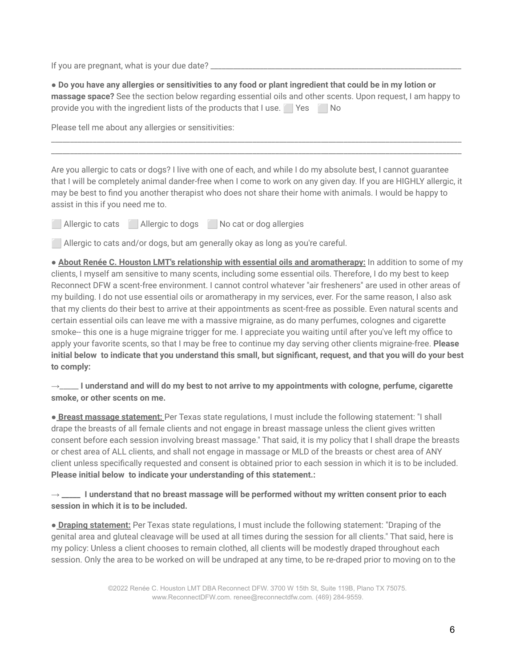If you are pregnant, what is your due date? \_\_\_\_\_\_\_\_\_\_\_\_\_\_\_\_\_\_\_\_\_\_\_\_\_\_\_\_\_\_\_\_\_\_\_\_\_\_\_\_\_\_\_\_\_\_\_\_\_\_\_\_\_\_\_\_\_\_\_\_\_\_\_\_\_\_

| . Do you have any allergies or sensitivities to any food or plant ingredient that could be in my lotion or  |
|-------------------------------------------------------------------------------------------------------------|
| massage space? See the section below regarding essential oils and other scents. Upon request, I am happy to |
| provide you with the ingredient lists of the products that I use. Yes No                                    |

\_\_\_\_\_\_\_\_\_\_\_\_\_\_\_\_\_\_\_\_\_\_\_\_\_\_\_\_\_\_\_\_\_\_\_\_\_\_\_\_\_\_\_\_\_\_\_\_\_\_\_\_\_\_\_\_\_\_\_\_\_\_\_\_\_\_\_\_\_\_\_\_\_\_\_\_\_\_\_\_\_\_\_\_\_\_\_\_\_\_\_\_\_\_\_\_\_\_\_\_\_\_\_\_\_\_\_\_ \_\_\_\_\_\_\_\_\_\_\_\_\_\_\_\_\_\_\_\_\_\_\_\_\_\_\_\_\_\_\_\_\_\_\_\_\_\_\_\_\_\_\_\_\_\_\_\_\_\_\_\_\_\_\_\_\_\_\_\_\_\_\_\_\_\_\_\_\_\_\_\_\_\_\_\_\_\_\_\_\_\_\_\_\_\_\_\_\_\_\_\_\_\_\_\_\_\_\_\_\_\_\_\_\_\_\_\_

Please tell me about any allergies or sensitivities:

Are you allergic to cats or dogs? I live with one of each, and while I do my absolute best, I cannot guarantee that I will be completely animal dander-free when I come to work on any given day. If you are HIGHLY allergic, it may be best to find you another therapist who does not share their home with animals. I would be happy to assist in this if you need me to.

**incident** Allergic to dogs **No cat or dog allergies** 

⬜ Allergic to cats and/or dogs, but am generally okay as long as you're careful.

● **About Renée C. Houston LMT's relationship with essential oils and aromatherapy:** In addition to some of my clients, I myself am sensitive to many scents, including some essential oils. Therefore, I do my best to keep Reconnect DFW a scent-free environment. I cannot control whatever "air fresheners'' are used in other areas of my building. I do not use essential oils or aromatherapy in my services, ever. For the same reason, I also ask that my clients do their best to arrive at their appointments as scent-free as possible. Even natural scents and certain essential oils can leave me with a massive migraine, as do many perfumes, colognes and cigarette smoke-- this one is a huge migraine trigger for me. I appreciate you waiting until after you've left my office to apply your favorite scents, so that I may be free to continue my day serving other clients migraine-free. **Please** initial below to indicate that you understand this small, but significant, request, and that you will do your best **to comply:**

→\_\_\_\_\_ **I understand and will do my best to not arrive to my appointments with cologne, perfume, cigarette smoke, or other scents on me.**

● **Breast massage statement:** Per Texas state regulations, I must include the following statement: "I shall drape the breasts of all female clients and not engage in breast massage unless the client gives written consent before each session involving breast massage." That said, it is my policy that I shall drape the breasts or chest area of ALL clients, and shall not engage in massage or MLD of the breasts or chest area of ANY client unless specifically requested and consent is obtained prior to each session in which it is to be included. **Please initial below to indicate your understanding of this statement.:**

 $\rightarrow$  \_\_\_\_\_\_ I understand that no breast massage will be performed without my written consent prior to each **session in which it is to be included.**

● **Draping statement:** Per Texas state regulations, I must include the following statement: "Draping of the genital area and gluteal cleavage will be used at all times during the session for all clients." That said, here is my policy: Unless a client chooses to remain clothed, all clients will be modestly draped throughout each session. Only the area to be worked on will be undraped at any time, to be re-draped prior to moving on to the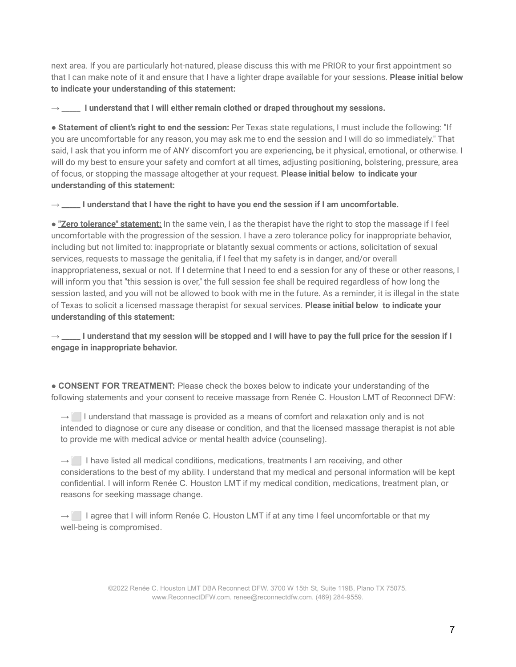next area. If you are particularly hot-natured, please discuss this with me PRIOR to your first appointment so that I can make note of it and ensure that I have a lighter drape available for your sessions. **Please initial below to indicate your understanding of this statement:**

**→ \_\_\_\_\_ I understand that I will either remain clothed or draped throughout my sessions.**

● **Statement of client's right to end the session:** Per Texas state regulations, I must include the following: "If you are uncomfortable for any reason, you may ask me to end the session and I will do so immediately." That said, I ask that you inform me of ANY discomfort you are experiencing, be it physical, emotional, or otherwise. I will do my best to ensure your safety and comfort at all times, adjusting positioning, bolstering, pressure, area of focus, or stopping the massage altogether at your request. **Please initial below to indicate your understanding of this statement:**

 $\rightarrow$  \_\_\_\_\_ I understand that I have the right to have you end the session if I am uncomfortable.

● **"Zero tolerance" statement:** In the same vein, I as the therapist have the right to stop the massage if I feel uncomfortable with the progression of the session. I have a zero tolerance policy for inappropriate behavior, including but not limited to: inappropriate or blatantly sexual comments or actions, solicitation of sexual services, requests to massage the genitalia, if I feel that my safety is in danger, and/or overall inappropriateness, sexual or not. If I determine that I need to end a session for any of these or other reasons, I will inform you that "this session is over," the full session fee shall be required regardless of how long the session lasted, and you will not be allowed to book with me in the future. As a reminder, it is illegal in the state of Texas to solicit a licensed massage therapist for sexual services. **Please initial below to indicate your understanding of this statement:**

 $\rightarrow$  \_\_\_\_ I understand that my session will be stopped and I will have to pay the full price for the session if I **engage in inappropriate behavior.**

● **CONSENT FOR TREATMENT:** Please check the boxes below to indicate your understanding of the following statements and your consent to receive massage from Renée C. Houston LMT of Reconnect DFW:

 $\rightarrow$  I understand that massage is provided as a means of comfort and relaxation only and is not intended to diagnose or cure any disease or condition, and that the licensed massage therapist is not able to provide me with medical advice or mental health advice (counseling).

 $\rightarrow$  **I** have listed all medical conditions, medications, treatments I am receiving, and other considerations to the best of my ability. I understand that my medical and personal information will be kept confidential. I will inform Renée C. Houston LMT if my medical condition, medications, treatment plan, or reasons for seeking massage change.

 $\rightarrow$  **I** agree that I will inform Renée C. Houston LMT if at any time I feel uncomfortable or that my well-being is compromised.